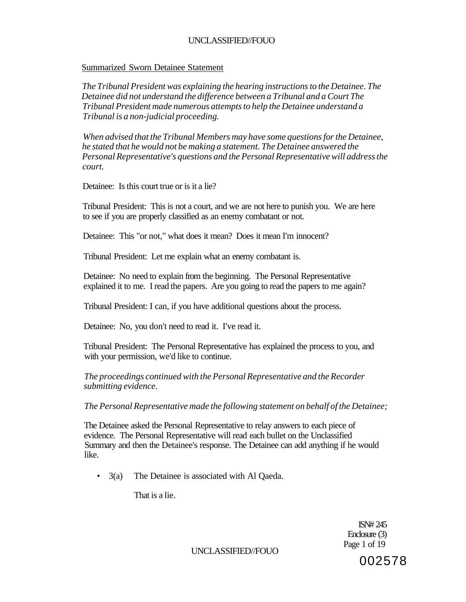### Summarized Sworn Detainee Statement

*The Tribunal President was explaining the hearing instructions to the Detainee. The Detainee did not understand the difference between a Tribunal and a Court The Tribunal President made numerous attempts to help the Detainee understand a Tribunal is a non-judicial proceeding.* 

*When advised that the Tribunal Members may have some questions for the Detainee, he stated that he would not be making a statement. The Detainee answered the Personal Representative's questions and the Personal Representative will address the court.* 

Detainee: Is this court true or is it a lie?

Tribunal President: This is not a court, and we are not here to punish you. We are here to see if you are properly classified as an enemy combatant or not.

Detainee: This "or not," what does it mean? Does it mean I'm innocent?

Tribunal President: Let me explain what an enemy combatant is.

Detainee: No need to explain from the beginning. The Personal Representative explained it to me. I read the papers. Are you going to read the papers to me again?

Tribunal President: I can, if you have additional questions about the process.

Detainee: No, you don't need to read it. I've read it.

Tribunal President: The Personal Representative has explained the process to you, and with your permission, we'd like to continue.

*The proceedings continued with the Personal Representative and the Recorder submitting evidence.* 

*The Personal Representative made the following statement on behalf of the Detainee;* 

The Detainee asked the Personal Representative to relay answers to each piece of evidence. The Personal Representative will read each bullet on the Unclassified Summary and then the Detainee's response. The Detainee can add anything if he would like.

• 3(a) The Detainee is associated with Al Qaeda.

That is a lie.

ISN# 245 Enclosure (3) Page 1 of 19

UNCLASSIFIED//FOUO

002578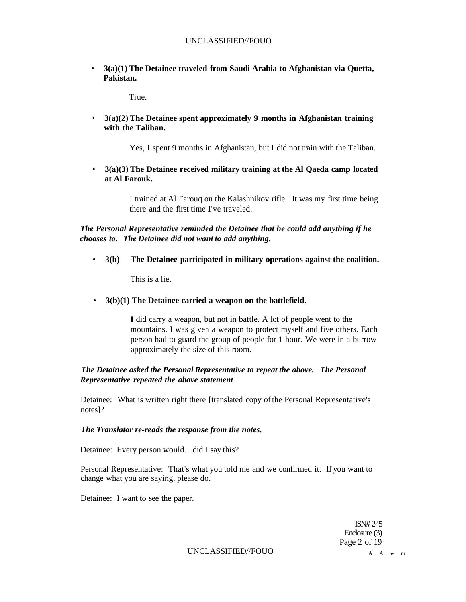• **3(a)(1) The Detainee traveled from Saudi Arabia to Afghanistan via Quetta, Pakistan.** 

True.

• **3(a)(2) The Detainee spent approximately 9 months in Afghanistan training with the Taliban.** 

Yes, I spent 9 months in Afghanistan, but I did not train with the Taliban.

• **3(a)(3) The Detainee received military training at the Al Qaeda camp located at Al Farouk.** 

> I trained at Al Farouq on the Kalashnikov rifle. It was my first time being there and the first time I've traveled.

*The Personal Representative reminded the Detainee that he could add anything if he chooses to. The Detainee did not want to add anything.* 

• **3(b) The Detainee participated in military operations against the coalition.** 

This is a lie.

• **3(b)(1) The Detainee carried a weapon on the battlefield.** 

**I** did carry a weapon, but not in battle. A lot of people went to the mountains. I was given a weapon to protect myself and five others. Each person had to guard the group of people for 1 hour. We were in a burrow approximately the size of this room.

### *The Detainee asked the Personal Representative to repeat the above. The Personal Representative repeated the above statement*

Detainee: What is written right there [translated copy of the Personal Representative's notes]?

#### *The Translator re-reads the response from the notes.*

Detainee: Every person would.. .did I say this?

Personal Representative: That's what you told me and we confirmed it. If you want to change what you are saying, please do.

Detainee: I want to see the paper.

ISN# 245 Enclosure (3) Page 2 of 19

 $\begin{array}{ccccccc}\n\text{UNCLASSIFIED//FOUO} & & & & & &\text{A} & \text{A} & \text{,} & \text{m}\n\end{array}$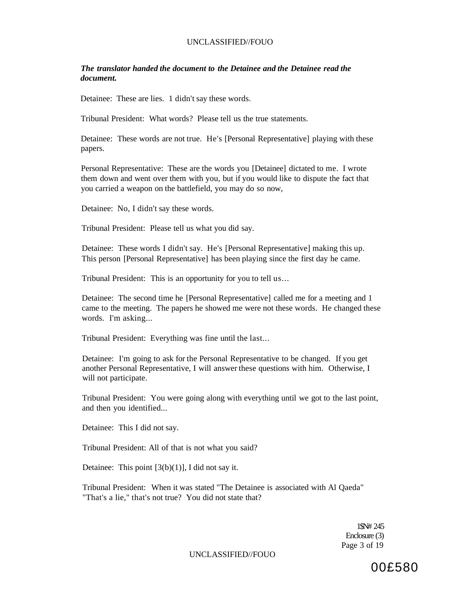### *The translator handed the document to the Detainee and the Detainee read the document.*

Detainee: These are lies. 1 didn't say these words.

Tribunal President: What words? Please tell us the true statements.

Detainee: These words are not true. He's [Personal Representative] playing with these papers.

Personal Representative: These are the words you [Detainee] dictated to me. I wrote them down and went over them with you, but if you would like to dispute the fact that you carried a weapon on the battlefield, you may do so now,

Detainee: No, I didn't say these words.

Tribunal President: Please tell us what you did say.

Detainee: These words I didn't say. He's [Personal Representative] making this up. This person [Personal Representative] has been playing since the first day he came.

Tribunal President: This is an opportunity for you to tell us...

Detainee: The second time he [Personal Representative] called me for a meeting and 1 came to the meeting. The papers he showed me were not these words. He changed these words. I'm asking...

Tribunal President: Everything was fine until the last...

Detainee: I'm going to ask for the Personal Representative to be changed. If you get another Personal Representative, I will answer these questions with him. Otherwise, I will not participate.

Tribunal President: You were going along with everything until we got to the last point, and then you identified...

Detainee: This I did not say.

Tribunal President: All of that is not what you said?

Detainee: This point  $[3(b)(1)]$ , I did not say it.

Tribunal President: When it was stated "The Detainee is associated with Al Qaeda" "That's a lie," that's not true? You did not state that?

> 1\$N# 245 Enclosure (3) Page 3 of 19

UNCLASSIFIED//FOUO

00£580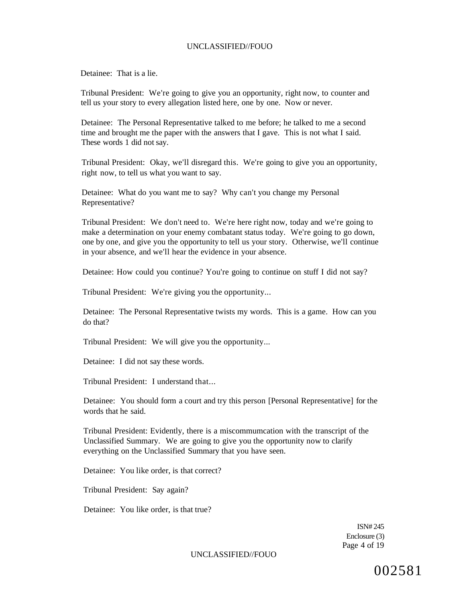Detainee: That is a lie.

Tribunal President: We're going to give you an opportunity, right now, to counter and tell us your story to every allegation listed here, one by one. Now or never.

Detainee: The Personal Representative talked to me before; he talked to me a second time and brought me the paper with the answers that I gave. This is not what I said. These words 1 did not say.

Tribunal President: Okay, we'll disregard this. We're going to give you an opportunity, right now, to tell us what you want to say.

Detainee: What do you want me to say? Why can't you change my Personal Representative?

Tribunal President: We don't need to. We're here right now, today and we're going to make a determination on your enemy combatant status today. We're going to go down, one by one, and give you the opportunity to tell us your story. Otherwise, we'll continue in your absence, and we'll hear the evidence in your absence.

Detainee: How could you continue? You're going to continue on stuff I did not say?

Tribunal President: We're giving you the opportunity...

Detainee: The Personal Representative twists my words. This is a game. How can you do that?

Tribunal President: We will give you the opportunity...

Detainee: I did not say these words.

Tribunal President: I understand that...

Detainee: You should form a court and try this person [Personal Representative] for the words that he said.

Tribunal President: Evidently, there is a miscommumcation with the transcript of the Unclassified Summary. We are going to give you the opportunity now to clarify everything on the Unclassified Summary that you have seen.

Detainee: You like order, is that correct?

Tribunal President: Say again?

Detainee: You like order, is that true?

ISN# 245 Enclosure (3) Page 4 of 19

UNCLASSIFIED//FOUO

002581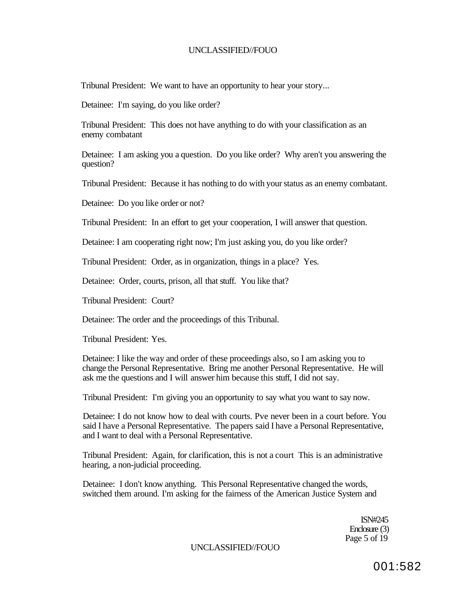Tribunal President: We want to have an opportunity to hear your story...

Detainee: I'm saying, do you like order?

Tribunal President: This does not have anything to do with your classification as an enemy combatant

Detainee: I am asking you a question. Do you like order? Why aren't you answering the question?

Tribunal President: Because it has nothing to do with your status as an enemy combatant.

Detainee: Do you like order or not?

Tribunal President: In an effort to get your cooperation, I will answer that question.

Detainee: I am cooperating right now; I'm just asking you, do you like order?

Tribunal President: Order, as in organization, things in a place? Yes.

Detainee: Order, courts, prison, all that stuff. You like that?

Tribunal President: Court?

Detainee: The order and the proceedings of this Tribunal.

Tribunal President: Yes.

Detainee: I like the way and order of these proceedings also, so I am asking you to change the Personal Representative. Bring me another Personal Representative. He will ask me the questions and I will answer him because this stuff, I did not say.

Tribunal President: I'm giving you an opportunity to say what you want to say now.

Detainee: I do not know how to deal with courts. Pve never been in a court before. You said I have a Personal Representative. The papers said I have a Personal Representative, and I want to deal with a Personal Representative.

Tribunal President: Again, for clarification, this is not a court This is an administrative hearing, a non-judicial proceeding.

Detainee: I don't know anything. This Personal Representative changed the words, switched them around. I'm asking for the fairness of the American Justice System and

> ISN#245 Enclosure (3) Page 5 of 19

UNCLASSIFIED//FOUO

001:582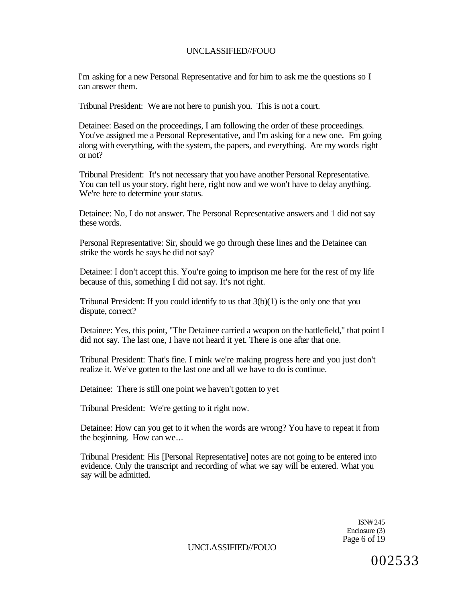I'm asking for a new Personal Representative and for him to ask me the questions so I can answer them.

Tribunal President: We are not here to punish you. This is not a court.

Detainee: Based on the proceedings, I am following the order of these proceedings. You've assigned me a Personal Representative, and I'm asking for a new one. Fm going along with everything, with the system, the papers, and everything. Are my words right or not?

Tribunal President: It's not necessary that you have another Personal Representative. You can tell us your story, right here, right now and we won't have to delay anything. We're here to determine your status.

Detainee: No, I do not answer. The Personal Representative answers and 1 did not say these words.

Personal Representative: Sir, should we go through these lines and the Detainee can strike the words he says he did not say?

Detainee: I don't accept this. You're going to imprison me here for the rest of my life because of this, something I did not say. It's not right.

Tribunal President: If you could identify to us that 3(b)(1) is the only one that you dispute, correct?

Detainee: Yes, this point, "The Detainee carried a weapon on the battlefield," that point I did not say. The last one, I have not heard it yet. There is one after that one.

Tribunal President: That's fine. I mink we're making progress here and you just don't realize it. We've gotten to the last one and all we have to do is continue.

Detainee: There is still one point we haven't gotten to yet

Tribunal President: We're getting to it right now.

Detainee: How can you get to it when the words are wrong? You have to repeat it from the beginning. How can we...

Tribunal President: His [Personal Representative] notes are not going to be entered into evidence. Only the transcript and recording of what we say will be entered. What you say will be admitted.

> ISN# 245 Enclosure (3) Page 6 of 19

UNCLASSIFIED//FOUO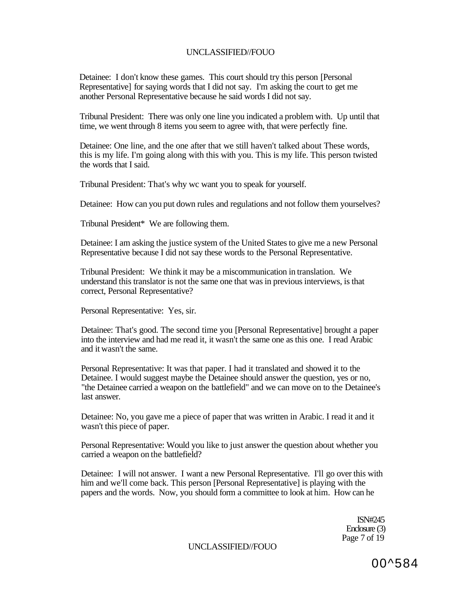Detainee: I don't know these games. This court should try this person [Personal Representative] for saying words that I did not say. I'm asking the court to get me another Personal Representative because he said words I did not say.

Tribunal President: There was only one line you indicated a problem with. Up until that time, we went through 8 items you seem to agree with, that were perfectly fine.

Detainee: One line, and the one after that we still haven't talked about These words, this is my life. I'm going along with this with you. This is my life. This person twisted the words that I said.

Tribunal President: That's why wc want you to speak for yourself.

Detainee: How can you put down rules and regulations and not follow them yourselves?

Tribunal President\* We are following them.

Detainee: I am asking the justice system of the United States to give me a new Personal Representative because I did not say these words to the Personal Representative.

Tribunal President: We think it may be a miscommunication in translation. We understand this translator is not the same one that was in previous interviews, is that correct, Personal Representative?

Personal Representative: Yes, sir.

Detainee: That's good. The second time you [Personal Representative] brought a paper into the interview and had me read it, it wasn't the same one as this one. I read Arabic and it wasn't the same.

Personal Representative: It was that paper. I had it translated and showed it to the Detainee. I would suggest maybe the Detainee should answer the question, yes or no, "the Detainee carried a weapon on the battlefield" and we can move on to the Detainee's last answer.

Detainee: No, you gave me a piece of paper that was written in Arabic. I read it and it wasn't this piece of paper.

Personal Representative: Would you like to just answer the question about whether you carried a weapon on the battlefield?

Detainee: I will not answer. I want a new Personal Representative. I'll go over this with him and we'll come back. This person [Personal Representative] is playing with the papers and the words. Now, you should form a committee to look at him. How can he

> ISN#245 Enclosure (3) Page 7 of 19

UNCLASSIFIED//FOUO

00^584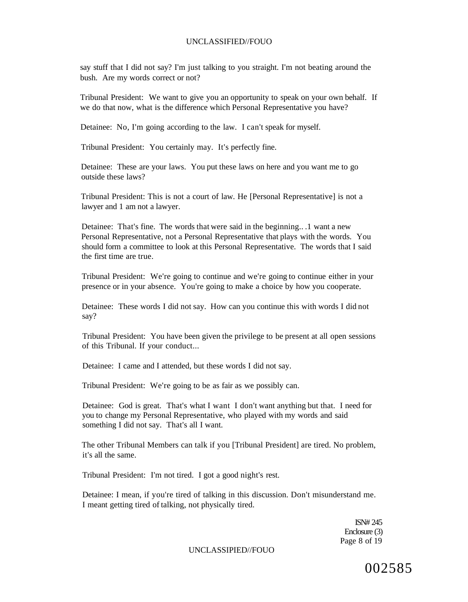say stuff that I did not say? I'm just talking to you straight. I'm not beating around the bush. Are my words correct or not?

Tribunal President: We want to give you an opportunity to speak on your own behalf. If we do that now, what is the difference which Personal Representative you have?

Detainee: No, I'm going according to the law. I can't speak for myself.

Tribunal President: You certainly may. It's perfectly fine.

Detainee: These are your laws. You put these laws on here and you want me to go outside these laws?

Tribunal President: This is not a court of law. He [Personal Representative] is not a lawyer and 1 am not a lawyer.

Detainee: That's fine. The words that were said in the beginning.. .1 want a new Personal Representative, not a Personal Representative that plays with the words. You should form a committee to look at this Personal Representative. The words that I said the first time are true.

Tribunal President: We're going to continue and we're going to continue either in your presence or in your absence. You're going to make a choice by how you cooperate.

Detainee: These words I did not say. How can you continue this with words I did not say?

Tribunal President: You have been given the privilege to be present at all open sessions of this Tribunal. If your conduct...

Detainee: I came and I attended, but these words I did not say.

Tribunal President: We're going to be as fair as we possibly can.

Detainee: God is great. That's what I want I don't want anything but that. I need for you to change my Personal Representative, who played with my words and said something I did not say. That's all I want.

The other Tribunal Members can talk if you [Tribunal President] are tired. No problem, it's all the same.

Tribunal President: I'm not tired. I got a good night's rest.

Detainee: I mean, if you're tired of talking in this discussion. Don't misunderstand me. I meant getting tired of talking, not physically tired.

> ISN# 245 Enclosure (3) Page 8 of 19

UNCLASSIPIED//FOUO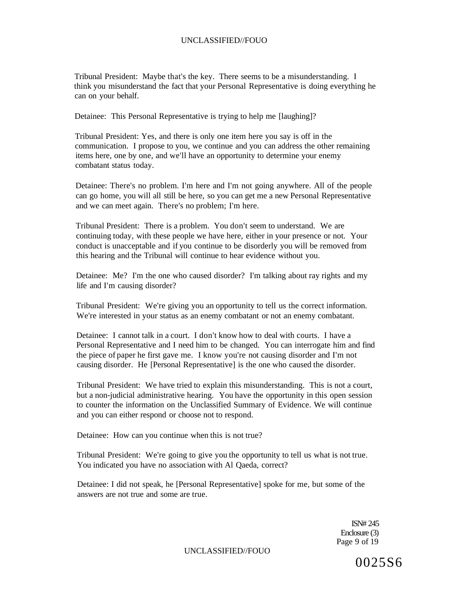Tribunal President: Maybe that's the key. There seems to be a misunderstanding. I think you misunderstand the fact that your Personal Representative is doing everything he can on your behalf.

Detainee: This Personal Representative is trying to help me [laughing]?

Tribunal President: Yes, and there is only one item here you say is off in the communication. I propose to you, we continue and you can address the other remaining items here, one by one, and we'll have an opportunity to determine your enemy combatant status today.

Detainee: There's no problem. I'm here and I'm not going anywhere. All of the people can go home, you will all still be here, so you can get me a new Personal Representative and we can meet again. There's no problem; I'm here.

Tribunal President: There is a problem. You don't seem to understand. We are continuing today, with these people we have here, either in your presence or not. Your conduct is unacceptable and if you continue to be disorderly you will be removed from this hearing and the Tribunal will continue to hear evidence without you.

Detainee: Me? I'm the one who caused disorder? I'm talking about ray rights and my life and I'm causing disorder?

Tribunal President: We're giving you an opportunity to tell us the correct information. We're interested in your status as an enemy combatant or not an enemy combatant.

Detainee: I cannot talk in a court. I don't know how to deal with courts. I have a Personal Representative and I need him to be changed. You can interrogate him and find the piece of paper he first gave me. I know you're not causing disorder and I'm not causing disorder. He [Personal Representative] is the one who caused the disorder.

Tribunal President: We have tried to explain this misunderstanding. This is not a court, but a non-judicial administrative hearing. You have the opportunity in this open session to counter the information on the Unclassified Summary of Evidence. We will continue and you can either respond or choose not to respond.

Detainee: How can you continue when this is not true?

Tribunal President: We're going to give you the opportunity to tell us what is not true. You indicated you have no association with Al Qaeda, correct?

Detainee: I did not speak, he [Personal Representative] spoke for me, but some of the answers are not true and some are true.

> ISN# 245 Enclosure (3) Page 9 of 19

UNCLASSIFIED//FOUO

0025S6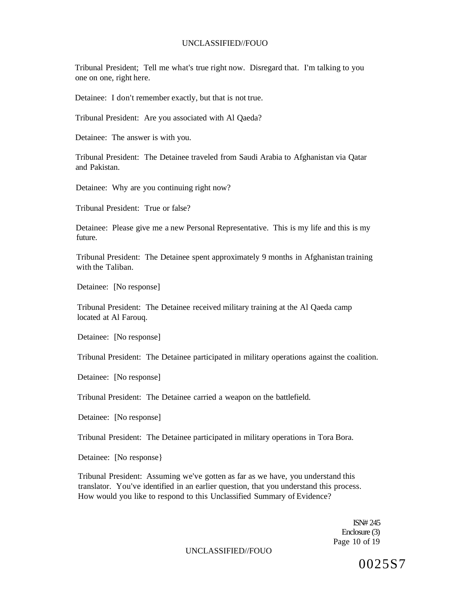Tribunal President; Tell me what's true right now. Disregard that. I'm talking to you one on one, right here.

Detainee: I don't remember exactly, but that is not true.

Tribunal President: Are you associated with Al Qaeda?

Detainee: The answer is with you.

Tribunal President: The Detainee traveled from Saudi Arabia to Afghanistan via Qatar and Pakistan.

Detainee: Why are you continuing right now?

Tribunal President: True or false?

Detainee: Please give me a new Personal Representative. This is my life and this is my future.

Tribunal President: The Detainee spent approximately 9 months in Afghanistan training with the Taliban.

Detainee: [No response]

Tribunal President: The Detainee received military training at the Al Qaeda camp located at Al Farouq.

Detainee: [No response]

Tribunal President: The Detainee participated in military operations against the coalition.

Detainee: [No response]

Tribunal President: The Detainee carried a weapon on the battlefield.

Detainee: [No response]

Tribunal President: The Detainee participated in military operations in Tora Bora.

Detainee: [No response}

Tribunal President: Assuming we've gotten as far as we have, you understand this translator. You've identified in an earlier question, that you understand this process. How would you like to respond to this Unclassified Summary of Evidence?

> ISN# 245 Enclosure (3) Page 10 of 19

UNCLASSIFIED//FOUO

0025S7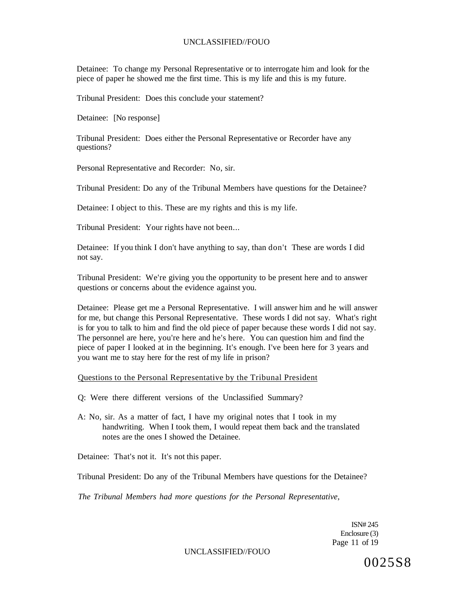Detainee: To change my Personal Representative or to interrogate him and look for the piece of paper he showed me the first time. This is my life and this is my future.

Tribunal President: Does this conclude your statement?

Detainee: [No response]

Tribunal President: Does either the Personal Representative or Recorder have any questions?

Personal Representative and Recorder: No, sir.

Tribunal President: Do any of the Tribunal Members have questions for the Detainee?

Detainee: I object to this. These are my rights and this is my life.

Tribunal President: Your rights have not been...

Detainee: If you think I don't have anything to say, than don't These are words I did not say.

Tribunal President: We're giving you the opportunity to be present here and to answer questions or concerns about the evidence against you.

Detainee: Please get me a Personal Representative. I will answer him and he will answer for me, but change this Personal Representative. These words I did not say. What's right is for you to talk to him and find the old piece of paper because these words I did not say. The personnel are here, you're here and he's here. You can question him and find the piece of paper I looked at in the beginning. It's enough. I've been here for 3 years and you want me to stay here for the rest of my life in prison?

#### Questions to the Personal Representative by the Tribunal President

- Q: Were there different versions of the Unclassified Summary?
- A: No, sir. As a matter of fact, I have my original notes that I took in my handwriting. When I took them, I would repeat them back and the translated notes are the ones I showed the Detainee.

Detainee: That's not it. It's not this paper.

Tribunal President: Do any of the Tribunal Members have questions for the Detainee?

*The Tribunal Members had more questions for the Personal Representative,* 

ISN# 245 Enclosure (3) Page 11 of 19

UNCLASSIFIED//FOUO

0025S8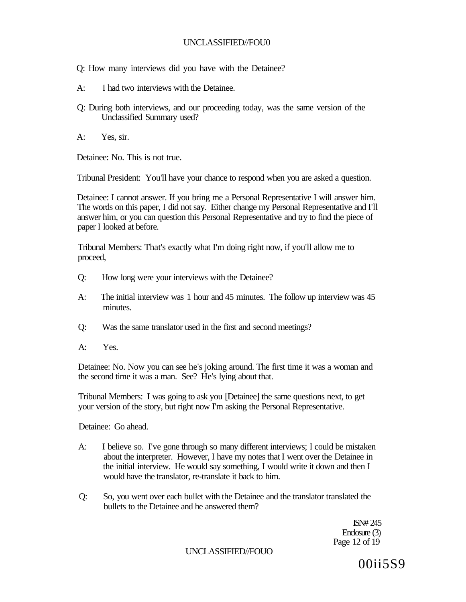Q: How many interviews did you have with the Detainee?

- A: I had two interviews with the Detainee.
- Q: During both interviews, and our proceeding today, was the same version of the Unclassified Summary used?
- A: Yes, sir.

Detainee: No. This is not true.

Tribunal President: You'll have your chance to respond when you are asked a question.

Detainee: I cannot answer. If you bring me a Personal Representative I will answer him. The words on this paper, I did not say. Either change my Personal Representative and I'll answer him, or you can question this Personal Representative and try to find the piece of paper I looked at before.

Tribunal Members: That's exactly what I'm doing right now, if you'll allow me to proceed,

- Q: How long were your interviews with the Detainee?
- A: The initial interview was 1 hour and 45 minutes. The follow up interview was 45 minutes.
- Q: Was the same translator used in the first and second meetings?
- A: Yes.

Detainee: No. Now you can see he's joking around. The first time it was a woman and the second time it was a man. See? He's lying about that.

Tribunal Members: I was going to ask you [Detainee] the same questions next, to get your version of the story, but right now I'm asking the Personal Representative.

Detainee: Go ahead.

- A: I believe so. I've gone through so many different interviews; I could be mistaken about the interpreter. However, I have my notes that I went over the Detainee in the initial interview. He would say something, I would write it down and then I would have the translator, re-translate it back to him.
- Q: So, you went over each bullet with the Detainee and the translator translated the bullets to the Detainee and he answered them?

ISN# 245 Enclosure (3) Page 12 of 19

UNCLASSIFIED//FOUO

00ii5S9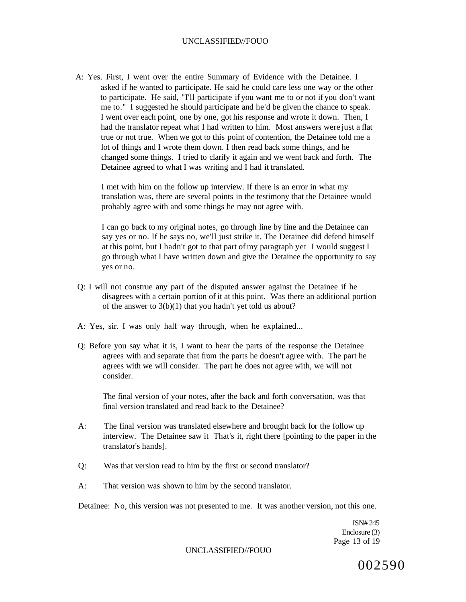A: Yes. First, I went over the entire Summary of Evidence with the Detainee. I asked if he wanted to participate. He said he could care less one way or the other to participate. He said, "I'll participate if you want me to or not if you don't want me to." I suggested he should participate and he'd be given the chance to speak. I went over each point, one by one, got his response and wrote it down. Then, I had the translator repeat what I had written to him. Most answers were just a flat true or not true. When we got to this point of contention, the Detainee told me a lot of things and I wrote them down. I then read back some things, and he changed some things. I tried to clarify it again and we went back and forth. The Detainee agreed to what I was writing and I had it translated.

I met with him on the follow up interview. If there is an error in what my translation was, there are several points in the testimony that the Detainee would probably agree with and some things he may not agree with.

I can go back to my original notes, go through line by line and the Detainee can say yes or no. If he says no, we'll just strike it. The Detainee did defend himself at this point, but I hadn't got to that part of my paragraph yet I would suggest I go through what I have written down and give the Detainee the opportunity to say yes or no.

- Q: I will not construe any part of the disputed answer against the Detainee if he disagrees with a certain portion of it at this point. Was there an additional portion of the answer to  $3(b)(1)$  that you hadn't yet told us about?
- A: Yes, sir. I was only half way through, when he explained...
- Q: Before you say what it is, I want to hear the parts of the response the Detainee agrees with and separate that from the parts he doesn't agree with. The part he agrees with we will consider. The part he does not agree with, we will not consider.

The final version of your notes, after the back and forth conversation, was that final version translated and read back to the Detainee?

- A: The final version was translated elsewhere and brought back for the follow up interview. The Detainee saw it That's it, right there [pointing to the paper in the translator's hands].
- Q: Was that version read to him by the first or second translator?
- A: That version was shown to him by the second translator.

Detainee: No, this version was not presented to me. It was another version, not this one.

ISN# 245 Enclosure (3) Page 13 of 19

UNCLASSIFIED//FOUO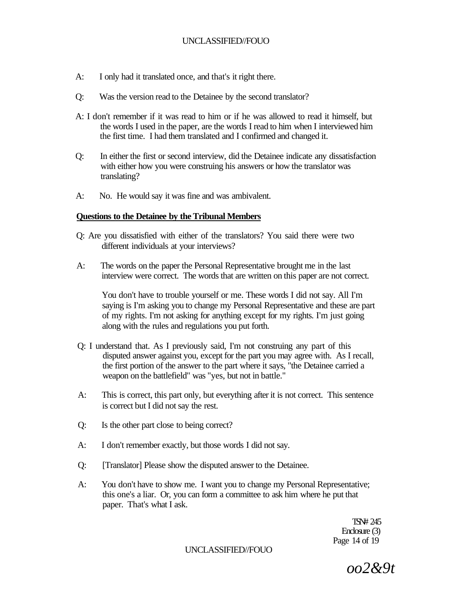- A: I only had it translated once, and that's it right there.
- Q: Was the version read to the Detainee by the second translator?
- A: I don't remember if it was read to him or if he was allowed to read it himself, but the words I used in the paper, are the words I read to him when I interviewed him the first time. I had them translated and I confirmed and changed it.
- Q: In either the first or second interview, did the Detainee indicate any dissatisfaction with either how you were construing his answers or how the translator was translating?
- A: No. He would say it was fine and was ambivalent.

### **Questions to the Detainee by the Tribunal Members**

- Q: Are you dissatisfied with either of the translators? You said there were two different individuals at your interviews?
- A: The words on the paper the Personal Representative brought me in the last interview were correct. The words that are written on this paper are not correct.

You don't have to trouble yourself or me. These words I did not say. All I'm saying is I'm asking you to change my Personal Representative and these are part of my rights. I'm not asking for anything except for my rights. I'm just going along with the rules and regulations you put forth.

- Q: I understand that. As I previously said, I'm not construing any part of this disputed answer against you, except for the part you may agree with. As I recall, the first portion of the answer to the part where it says, "the Detainee carried a weapon on the battlefield" was "yes, but not in battle."
- A: This is correct, this part only, but everything after it is not correct. This sentence is correct but I did not say the rest.
- Q: Is the other part close to being correct?
- A: I don't remember exactly, but those words I did not say.
- Q: [Translator] Please show the disputed answer to the Detainee.
- A: You don't have to show me. I want you to change my Personal Representative; this one's a liar. Or, you can form a committee to ask him where he put that paper. That's what I ask.

TSN# 245 Enclosure (3) Page 14 of 19

UNCLASSIFIED//FOUO

*oo2&9t*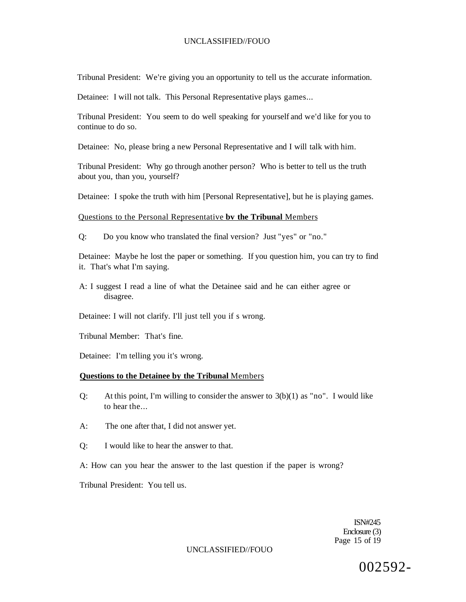Tribunal President: We're giving you an opportunity to tell us the accurate information.

Detainee: I will not talk. This Personal Representative plays games...

Tribunal President: You seem to do well speaking for yourself and we'd like for you to continue to do so.

Detainee: No, please bring a new Personal Representative and I will talk with him.

Tribunal President: Why go through another person? Who is better to tell us the truth about you, than you, yourself?

Detainee: I spoke the truth with him [Personal Representative], but he is playing games.

### Questions to the Personal Representative **bv the Tribunal** Members

Q: Do you know who translated the final version? Just "yes" or "no."

Detainee: Maybe he lost the paper or something. If you question him, you can try to find it. That's what I'm saying.

A: I suggest I read a line of what the Detainee said and he can either agree or disagree.

Detainee: I will not clarify. I'll just tell you if s wrong.

Tribunal Member: That's fine.

Detainee: I'm telling you it's wrong.

### **Questions to the Detainee by the Tribunal** Members

- Q: At this point, I'm willing to consider the answer to  $3(b)(1)$  as "no". I would like to hear the...
- A: The one after that, I did not answer yet.
- Q: I would like to hear the answer to that.

A: How can you hear the answer to the last question if the paper is wrong?

Tribunal President: You tell us.

ISN#245 Enclosure (3) Page 15 of 19

#### UNCLASSIFIED//FOUO

002592-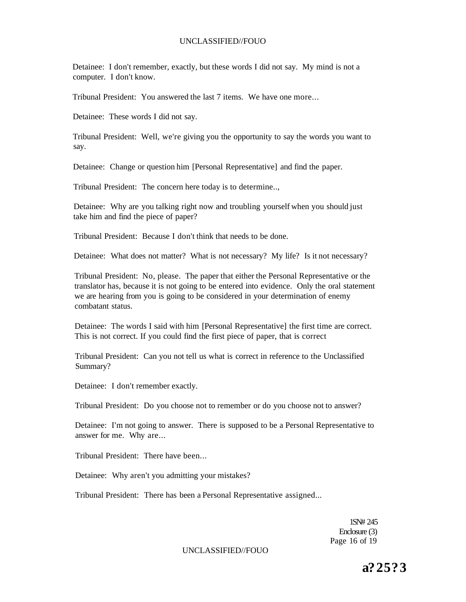Detainee: I don't remember, exactly, but these words I did not say. My mind is not a computer. I don't know.

Tribunal President: You answered the last 7 items. We have one more...

Detainee: These words I did not say.

Tribunal President: Well, we're giving you the opportunity to say the words you want to say.

Detainee: Change or question him [Personal Representative] and find the paper.

Tribunal President: The concern here today is to determine..,

Detainee: Why are you talking right now and troubling yourself when you should just take him and find the piece of paper?

Tribunal President: Because I don't think that needs to be done.

Detainee: What does not matter? What is not necessary? My life? Is it not necessary?

Tribunal President: No, please. The paper that either the Personal Representative or the translator has, because it is not going to be entered into evidence. Only the oral statement we are hearing from you is going to be considered in your determination of enemy combatant status.

Detainee: The words I said with him [Personal Representative] the first time are correct. This is not correct. If you could find the first piece of paper, that is correct

Tribunal President: Can you not tell us what is correct in reference to the Unclassified Summary?

Detainee: I don't remember exactly.

Tribunal President: Do you choose not to remember or do you choose not to answer?

Detainee: I'm not going to answer. There is supposed to be a Personal Representative to answer for me. Why are...

Tribunal President: There have been...

Detainee: Why aren't you admitting your mistakes?

Tribunal President: There has been a Personal Representative assigned...

1SN# 245 Enclosure (3) Page 16 of 19

UNCLASSIFIED//FOUO

**a? 25? 3**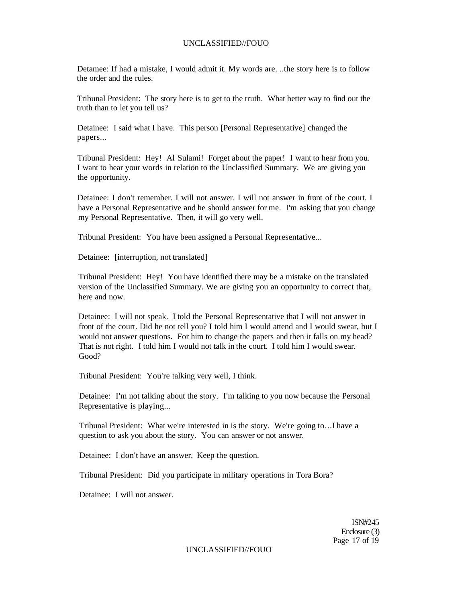Detamee: If had a mistake, I would admit it. My words are. ..the story here is to follow the order and the rules.

Tribunal President: The story here is to get to the truth. What better way to find out the truth than to let you tell us?

Detainee: I said what I have. This person [Personal Representative] changed the papers...

Tribunal President: Hey! Al Sulami! Forget about the paper! I want to hear from you. I want to hear your words in relation to the Unclassified Summary. We are giving you the opportunity.

Detainee: I don't remember. I will not answer. I will not answer in front of the court. I have a Personal Representative and he should answer for me. I'm asking that you change my Personal Representative. Then, it will go very well.

Tribunal President: You have been assigned a Personal Representative...

Detainee: [interruption, not translated]

Tribunal President: Hey! You have identified there may be a mistake on the translated version of the Unclassified Summary. We are giving you an opportunity to correct that, here and now.

Detainee: I will not speak. I told the Personal Representative that I will not answer in front of the court. Did he not tell you? I told him I would attend and I would swear, but I would not answer questions. For him to change the papers and then it falls on my head? That is not right. I told him I would not talk in the court. I told him I would swear. Good?

Tribunal President: You're talking very well, I think.

Detainee: I'm not talking about the story. I'm talking to you now because the Personal Representative is playing...

Tribunal President: What we're interested in is the story. We're going to...I have a question to ask you about the story. You can answer or not answer.

Detainee: I don't have an answer. Keep the question.

Tribunal President: Did you participate in military operations in Tora Bora?

Detainee: I will not answer.

ISN#245 Enclosure (3) Page 17 of 19

UNCLASSIFIED//FOUO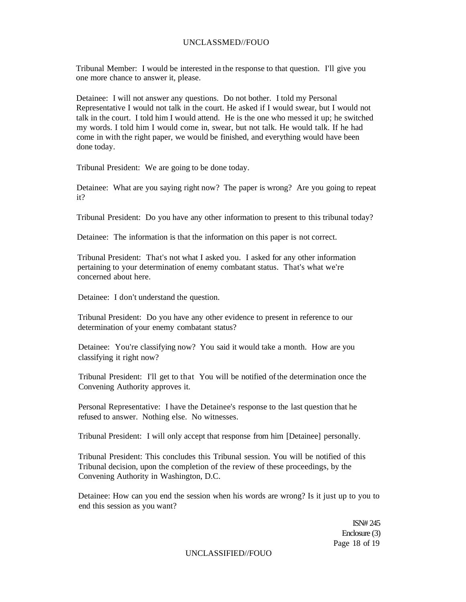### UNCLASSMED//FOUO

Tribunal Member: I would be interested in the response to that question. I'll give you one more chance to answer it, please.

Detainee: I will not answer any questions. Do not bother. I told my Personal Representative I would not talk in the court. He asked if I would swear, but I would not talk in the court. I told him I would attend. He is the one who messed it up; he switched my words. I told him I would come in, swear, but not talk. He would talk. If he had come in with the right paper, we would be finished, and everything would have been done today.

Tribunal President: We are going to be done today.

Detainee: What are you saying right now? The paper is wrong? Are you going to repeat it?

Tribunal President: Do you have any other information to present to this tribunal today?

Detainee: The information is that the information on this paper is not correct.

Tribunal President: That's not what I asked you. I asked for any other information pertaining to your determination of enemy combatant status. That's what we're concerned about here.

Detainee: I don't understand the question.

Tribunal President: Do you have any other evidence to present in reference to our determination of your enemy combatant status?

Detainee: You're classifying now? You said it would take a month. How are you classifying it right now?

Tribunal President: I'll get to that You will be notified of the determination once the Convening Authority approves it.

Personal Representative: I have the Detainee's response to the last question that he refused to answer. Nothing else. No witnesses.

Tribunal President: I will only accept that response from him [Detainee] personally.

Tribunal President: This concludes this Tribunal session. You will be notified of this Tribunal decision, upon the completion of the review of these proceedings, by the Convening Authority in Washington, D.C.

Detainee: How can you end the session when his words are wrong? Is it just up to you to end this session as you want?

> ISN# 245 Enclosure (3) Page 18 of 19

UNCLASSIFIED//FOUO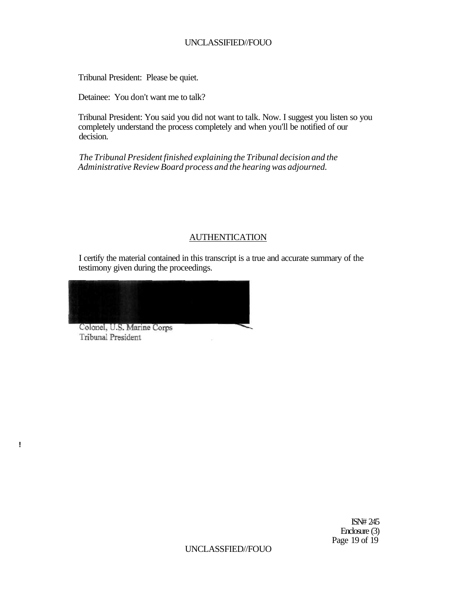Tribunal President: Please be quiet.

Detainee: You don't want me to talk?

Tribunal President: You said you did not want to talk. Now. I suggest you listen so you completely understand the process completely and when you'll be notified of our decision.

*The Tribunal President finished explaining the Tribunal decision and the Administrative Review Board process and the hearing was adjourned.* 

### AUTHENTICATION

I certify the material contained in this transcript is a true and accurate summary of the testimony given during the proceedings.

Colonel, U.S. Marine Corps Tribunal President

**!**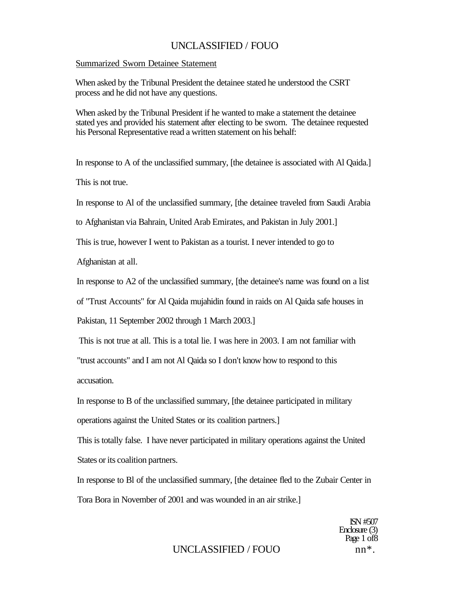#### Summarized Sworn Detainee Statement

When asked by the Tribunal President the detainee stated he understood the CSRT process and he did not have any questions.

When asked by the Tribunal President if he wanted to make a statement the detainee stated yes and provided his statement after electing to be sworn. The detainee requested his Personal Representative read a written statement on his behalf:

In response to A of the unclassified summary, [the detainee is associated with Al Qaida.]

This is not true.

In response to Al of the unclassified summary, [the detainee traveled from Saudi Arabia

to Afghanistan via Bahrain, United Arab Emirates, and Pakistan in July 2001.]

This is true, however I went to Pakistan as a tourist. I never intended to go to

Afghanistan at all.

In response to A2 of the unclassified summary, [the detainee's name was found on a list

of "Trust Accounts" for Al Qaida mujahidin found in raids on Al Qaida safe houses in

Pakistan, 11 September 2002 through 1 March 2003.]

This is not true at all. This is a total lie. I was here in 2003. I am not familiar with

"trust accounts" and I am not Al Qaida so I don't know how to respond to this accusation.

In response to B of the unclassified summary, [the detainee participated in military operations against the United States or its coalition partners.]

This is totally false. I have never participated in military operations against the United States or its coalition partners.

In response to Bl of the unclassified summary, [the detainee fled to the Zubair Center in Tora Bora in November of 2001 and was wounded in an air strike.]

> ISN #507 Enclosure (3) Page 1 of 8

# UNCLASSIFIED / FOUO nn<sup>\*</sup>.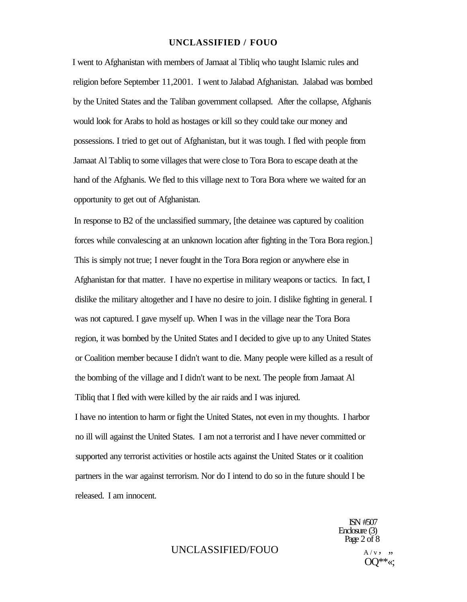I went to Afghanistan with members of Jamaat al Tibliq who taught Islamic rules and religion before September 11,2001. I went to Jalabad Afghanistan. Jalabad was bombed by the United States and the Taliban government collapsed. After the collapse, Afghanis would look for Arabs to hold as hostages or kill so they could take our money and possessions. I tried to get out of Afghanistan, but it was tough. I fled with people from Jamaat Al Tabliq to some villages that were close to Tora Bora to escape death at the hand of the Afghanis. We fled to this village next to Tora Bora where we waited for an opportunity to get out of Afghanistan.

In response to B2 of the unclassified summary, [the detainee was captured by coalition forces while convalescing at an unknown location after fighting in the Tora Bora region.] This is simply not true; I never fought in the Tora Bora region or anywhere else in Afghanistan for that matter. I have no expertise in military weapons or tactics. In fact, I dislike the military altogether and I have no desire to join. I dislike fighting in general. I was not captured. I gave myself up. When I was in the village near the Tora Bora region, it was bombed by the United States and I decided to give up to any United States or Coalition member because I didn't want to die. Many people were killed as a result of the bombing of the village and I didn't want to be next. The people from Jamaat Al Tibliq that I fled with were killed by the air raids and I was injured.

I have no intention to harm or fight the United States, not even in my thoughts. I harbor no ill will against the United States. I am not a terrorist and I have never committed or supported any terrorist activities or hostile acts against the United States or it coalition partners in the war against terrorism. Nor do I intend to do so in the future should I be released. I am innocent.

> ISN #507 Enclosure (3) Page 2 of 8

# UNCLASSIFIED/FOUO  $A/v$ , "

OQ\*\*«;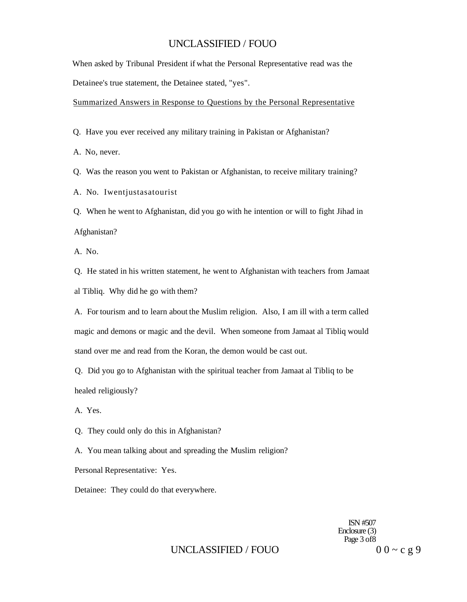When asked by Tribunal President if what the Personal Representative read was the Detainee's true statement, the Detainee stated, "yes".

Summarized Answers in Response to Questions by the Personal Representative

Q. Have you ever received any military training in Pakistan or Afghanistan?

A. No, never.

Q. Was the reason you went to Pakistan or Afghanistan, to receive military training?

A. No. Iwentjustasatourist

Q. When he went to Afghanistan, did you go with he intention or will to fight Jihad in Afghanistan?

A. No.

Q. He stated in his written statement, he went to Afghanistan with teachers from Jamaat al Tibliq. Why did he go with them?

A. For tourism and to learn about the Muslim religion. Also, I am ill with a term called magic and demons or magic and the devil. When someone from Jamaat al Tibliq would stand over me and read from the Koran, the demon would be cast out.

Q. Did you go to Afghanistan with the spiritual teacher from Jamaat al Tibliq to be healed religiously?

A. Yes.

Q. They could only do this in Afghanistan?

A. You mean talking about and spreading the Muslim religion?

Personal Representative: Yes.

Detainee: They could do that everywhere.

ISN #507 Enclosure (3) Page 3 of8

# UNCLASSIFIED / FOUO  $00 \sim c g 9$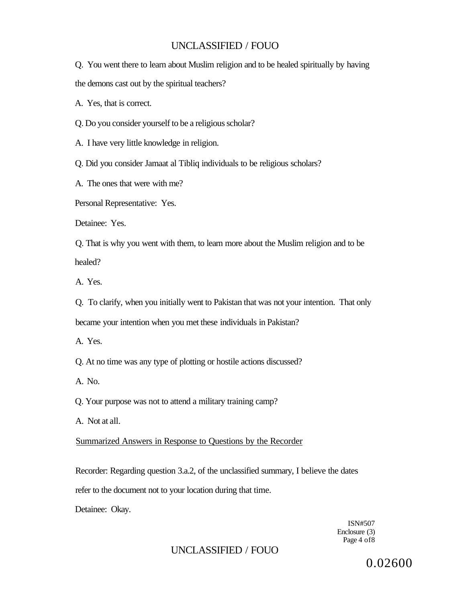Q. You went there to learn about Muslim religion and to be healed spiritually by having the demons cast out by the spiritual teachers?

A. Yes, that is correct.

Q. Do you consider yourself to be a religious scholar?

A. I have very little knowledge in religion.

Q. Did you consider Jamaat al Tibliq individuals to be religious scholars?

A. The ones that were with me?

Personal Representative: Yes.

Detainee: Yes.

Q. That is why you went with them, to learn more about the Muslim religion and to be healed?

A. Yes.

Q. To clarify, when you initially went to Pakistan that was not your intention. That only became your intention when you met these individuals in Pakistan?

A. Yes.

Q. At no time was any type of plotting or hostile actions discussed?

A. No.

Q. Your purpose was not to attend a military training camp?

A. Not at all.

Summarized Answers in Response to Questions by the Recorder

Recorder: Regarding question 3.a.2, of the unclassified summary, I believe the dates refer to the document not to your location during that time.

Detainee: Okay.

ISN#507 Enclosure (3) Page 4 of8

# UNCLASSIFIED / FOUO

0.02600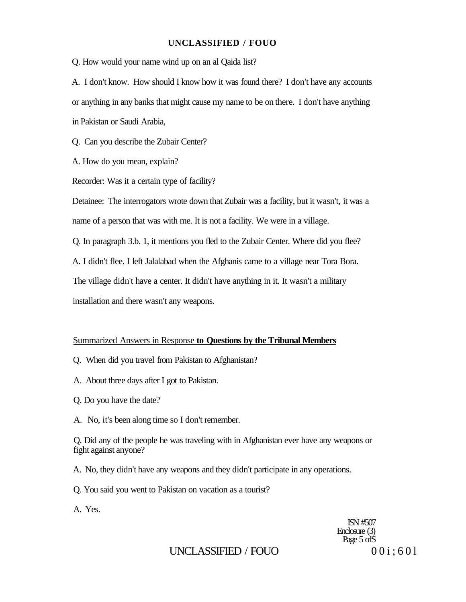Q. How would your name wind up on an al Qaida list?

A. I don't know. How should I know how it was found there? I don't have any accounts or anything in any banks that might cause my name to be on there. I don't have anything in Pakistan or Saudi Arabia,

Q. Can you describe the Zubair Center?

A. How do you mean, explain?

Recorder: Was it a certain type of facility?

Detainee: The interrogators wrote down that Zubair was a facility, but it wasn't, it was a name of a person that was with me. It is not a facility. We were in a village.

Q. In paragraph 3.b. 1, it mentions you fled to the Zubair Center. Where did you flee?

A. I didn't flee. I left Jalalabad when the Afghanis came to a village near Tora Bora.

The village didn't have a center. It didn't have anything in it. It wasn't a military

installation and there wasn't any weapons.

#### Summarized Answers in Response **to Questions by the Tribunal Members**

- Q. When did you travel from Pakistan to Afghanistan?
- A. About three days after I got to Pakistan.
- Q. Do you have the date?
- A. No, it's been along time so I don't remember.

Q. Did any of the people he was traveling with in Afghanistan ever have any weapons or fight against anyone?

- A. No, they didn't have any weapons and they didn't participate in any operations.
- Q. You said you went to Pakistan on vacation as a tourist?

A. Yes.

ISN #507 Enclosure (3) Page 5 of S

### UNCLASSIFIED / FOUO  $00i:601$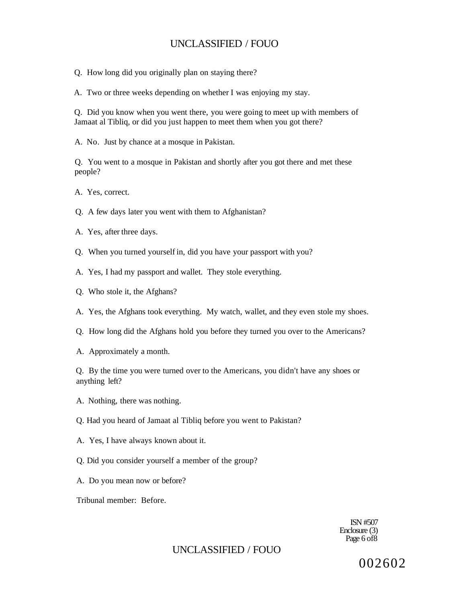- Q. How long did you originally plan on staying there?
- A. Two or three weeks depending on whether I was enjoying my stay.

Q. Did you know when you went there, you were going to meet up with members of Jamaat al Tibliq, or did you just happen to meet them when you got there?

A. No. Just by chance at a mosque in Pakistan.

Q. You went to a mosque in Pakistan and shortly after you got there and met these people?

A. Yes, correct.

- Q. A few days later you went with them to Afghanistan?
- A. Yes, after three days.
- Q. When you turned yourself in, did you have your passport with you?
- A. Yes, I had my passport and wallet. They stole everything.
- Q. Who stole it, the Afghans?
- A. Yes, the Afghans took everything. My watch, wallet, and they even stole my shoes.
- Q. How long did the Afghans hold you before they turned you over to the Americans?
- A. Approximately a month.

Q. By the time you were turned over to the Americans, you didn't have any shoes or anything left?

- A. Nothing, there was nothing.
- Q. Had you heard of Jamaat al Tibliq before you went to Pakistan?
- A. Yes, I have always known about it.
- Q. Did you consider yourself a member of the group?
- A. Do you mean now or before?
- Tribunal member: Before.

ISN #507 Enclosure (3) Page 6 of 8

### UNCLASSIFIED / FOUO

002602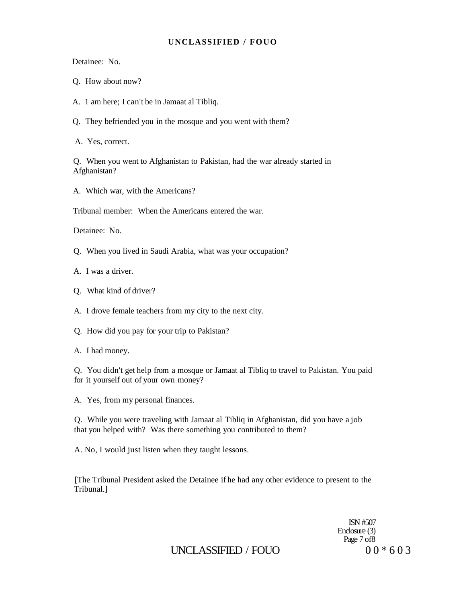Detainee: No.

- Q. How about now?
- A. 1 am here; I can't be in Jamaat al Tibliq.
- Q. They befriended you in the mosque and you went with them?
- A. Yes, correct.

Q. When you went to Afghanistan to Pakistan, had the war already started in Afghanistan?

A. Which war, with the Americans?

Tribunal member: When the Americans entered the war.

Detainee: No.

Q. When you lived in Saudi Arabia, what was your occupation?

- A. I was a driver.
- Q. What kind of driver?

A. I drove female teachers from my city to the next city.

- Q. How did you pay for your trip to Pakistan?
- A. I had money.

Q. You didn't get help from a mosque or Jamaat al Tibliq to travel to Pakistan. You paid for it yourself out of your own money?

A. Yes, from my personal finances.

Q. While you were traveling with Jamaat al Tibliq in Afghanistan, did you have a job that you helped with? Was there something you contributed to them?

A. No, I would just listen when they taught lessons.

[The Tribunal President asked the Detainee if he had any other evidence to present to the Tribunal.]

> ISN #507 Enclosure (3) Page 7 of 8

UNCLASSIFIED / FOUO  $00 * 603$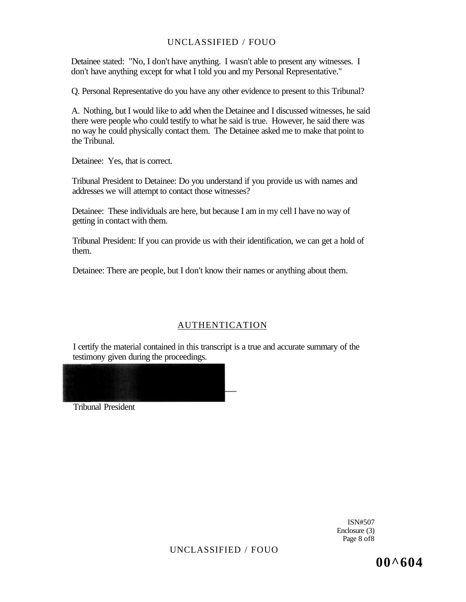Detainee stated: "No, I don't have anything. I wasn't able to present any witnesses. I don't have anything except for what I told you and my Personal Representative."

Q. Personal Representative do you have any other evidence to present to this Tribunal?

A. Nothing, but I would like to add when the Detainee and I discussed witnesses, he said there were people who could testify to what he said is true. However, he said there was no way he could physically contact them. The Detainee asked me to make that point to the Tribunal.

Detainee: Yes, that is correct.

Tribunal President to Detainee: Do you understand if you provide us with names and addresses we will attempt to contact those witnesses?

Detainee: These individuals are here, but because I am in my cell I have no way of getting in contact with them.

Tribunal President: If you can provide us with their identification, we can get a hold of them.

Detainee: There are people, but I don't know their names or anything about them.

### AUTHENTICATION

I certify the material contained in this transcript is a true and accurate summary of the testimony given during the proceedings.



Tribunal President

ISN#507 Enclosure (3) Page 8 of8

UNCLASSIFIED / FOUO

**00^604**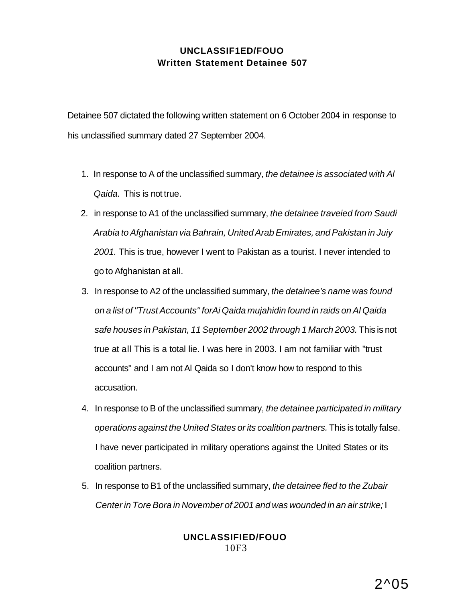# **UNCLASSIF1ED/FOUO Written Statement Detainee 507**

Detainee 507 dictated the following written statement on 6 October 2004 in response to his unclassified summary dated 27 September 2004.

- 1. In response to A of the unclassified summary, the detainee is associated with AI Qaida. This is not true.
- 2. in response to A1 of the unclassified summary, the detainee traveied from Saudi Arabia to Afghanistan via Bahrain, United Arab Emirates, and Pakistan in Juiy 2001. This is true, however I went to Pakistan as a tourist. I never intended to go to Afghanistan at all.
- 3. In response to A2 of the unclassified summary, the detainee's name was found on a list of "Trust Accounts'' forAi Qaida mujahidin found in raids on Al Qaida safe houses in Pakistan, 11 September 2002 through 1 March 2003. This is not true at all This is a total lie. I was here in 2003. I am not familiar with "trust accounts" and I am not Al Qaida so I don't know how to respond to this accusation.
- 4. In response to B of the unclassified summary, the detainee participated in military operations against the United States or its coalition partners. This is totally false. I have never participated in military operations against the United States or its coalition partners.
- 5. In response to B1 of the unclassified summary, the detainee fled to the Zubair Center in Tore Bora in November of 2001 and was wounded in an air strike; I

### **UNCLASSIFIED/FOUO**  10F3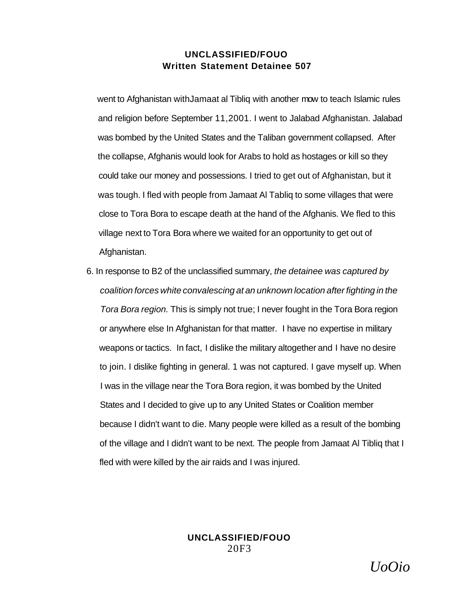### **UNCLASSIFIED/FOUO Written Statement Detainee 507**

went to Afghanistan withJamaat al Tibliq with another mow to teach Islamic rules and religion before September 11,2001. I went to Jalabad Afghanistan. Jalabad was bombed by the United States and the Taliban government collapsed. After the collapse, Afghanis would look for Arabs to hold as hostages or kill so they could take our money and possessions. I tried to get out of Afghanistan, but it was tough. I fled with people from Jamaat Al Tabliq to some villages that were close to Tora Bora to escape death at the hand of the Afghanis. We fled to this village next to Tora Bora where we waited for an opportunity to get out of Afghanistan.

6. In response to B2 of the unclassified summary, the detainee was captured by coalition forces white convalescing at an unknown location after fighting in the Tora Bora region. This is simply not true; I never fought in the Tora Bora region or anywhere else In Afghanistan for that matter. I have no expertise in military weapons or tactics. In fact, I dislike the military altogether and I have no desire to join. I dislike fighting in general. 1 was not captured. I gave myself up. When I was in the village near the Tora Bora region, it was bombed by the United States and I decided to give up to any United States or Coalition member because I didn't want to die. Many people were killed as a result of the bombing of the village and I didn't want to be next. The people from Jamaat Al Tibliq that I fled with were killed by the air raids and I was injured.

### **UNCLASSIFIED/FOUO**  20F3